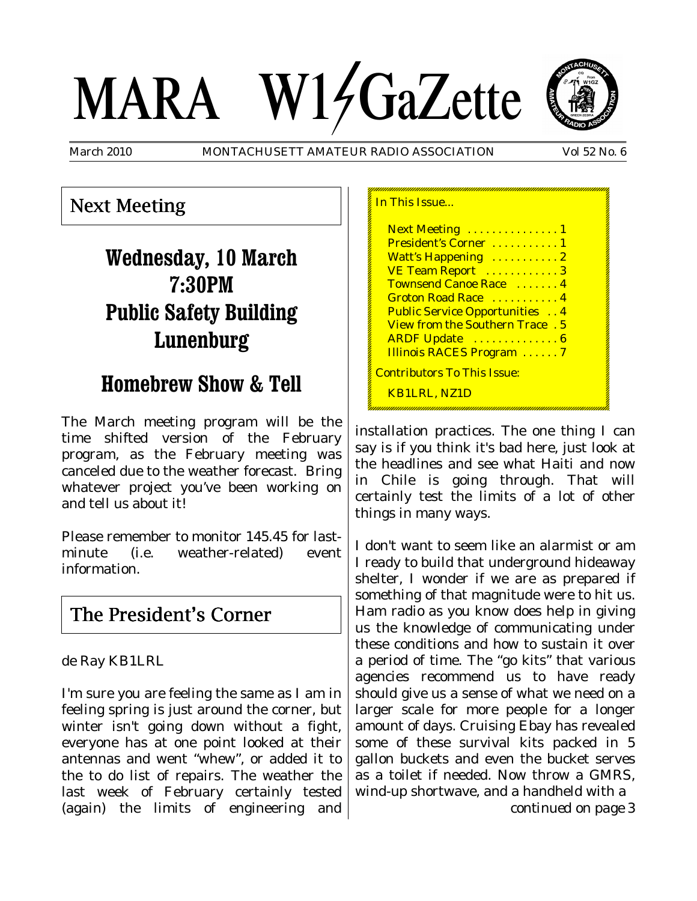# MARA W14GaZette



March 2010 MONTACHUSETT AMATEUR RADIO ASSOCIATION Vol 52 No. 6

## Next Meeting

# **Wednesday, 10 March 7:30PM Public Safety Building Lunenburg**

# **Homebrew Show & Tell**

The March meeting program will be the time shifted version of the February program, as the February meeting was canceled due to the weather forecast. Bring whatever project you've been working on and tell us about it!

Please remember to monitor 145.45 for lastminute (i.e. weather-related) event information.

## The President's Corner

de Ray KB1LRL

I'm sure you are feeling the same as I am in feeling spring is just around the corner, but winter isn't going down without a fight, everyone has at one point looked at their antennas and went "whew", or added it to the to do list of repairs. The weather the last week of February certainly tested (again) the limits of engineering and

| In This Issue                         |
|---------------------------------------|
| Next Meeting  1                       |
| President's Corner  1                 |
| Watt's Happening  2                   |
| VE Team Report 3                      |
| Townsend Canoe Race  4                |
| Groton Road Race  4                   |
| <b>Public Service Opportunities</b> 4 |
| View from the Southern Trace . 5      |
| ARDF Update  6                        |
| <b>Illinois RACES Program</b> 7       |
| <b>Contributors To This Issue:</b>    |
| <b>KB1LRL, NZ1D</b>                   |

installation practices. The one thing I can say is if you think it's bad here, just look at the headlines and see what Haiti and now in Chile is going through. That will certainly test the limits of a lot of other things in many ways.

I don't want to seem like an alarmist or am I ready to build that underground hideaway shelter, I wonder if we are as prepared if something of that magnitude were to hit us. Ham radio as you know does help in giving us the knowledge of communicating under these conditions and how to sustain it over a period of time. The "go kits" that various agencies recommend us to have ready should give us a sense of what we need on a larger scale for more people for a longer amount of days. Cruising Ebay has revealed some of these survival kits packed in 5 gallon buckets and even the bucket serves as a toilet if needed. Now throw a GMRS, wind-up shortwave, and a handheld with a

*continued on page 3*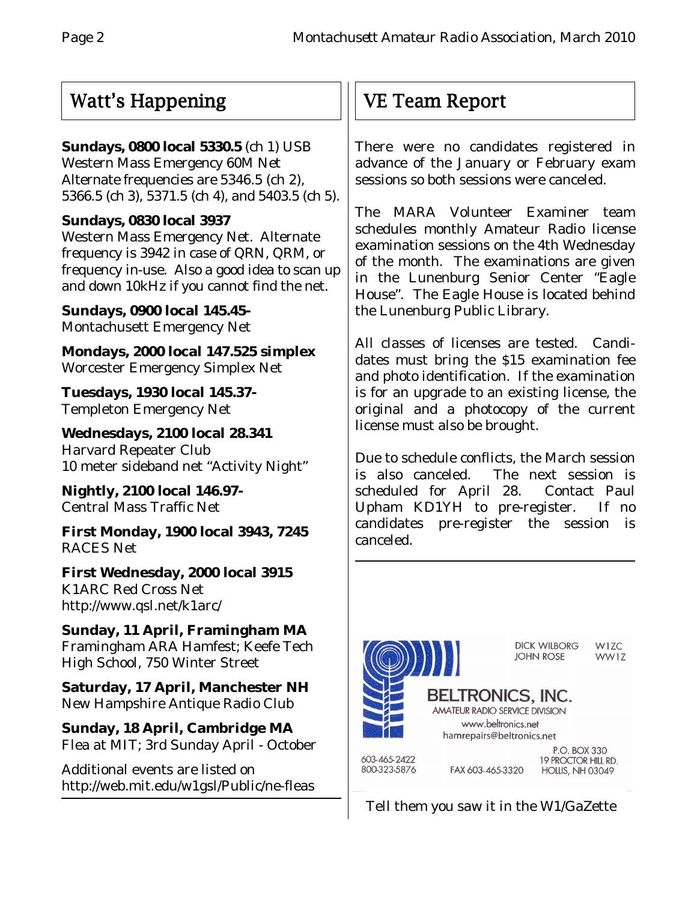## Watt's Happening

## **Sundays, 0800 local 5330.5** (ch 1) USB

Western Mass Emergency 60M Net Alternate frequencies are 5346.5 (ch 2), 5366.5 (ch 3), 5371.5 (ch 4), and 5403.5 (ch 5).

## **Sundays, 0830 local 3937**

Western Mass Emergency Net. Alternate frequency is 3942 in case of QRN, QRM, or frequency in-use. Also a good idea to scan up and down 10kHz if you cannot find the net.

**Sundays, 0900 local 145.45-** Montachusett Emergency Net

**Mondays, 2000 local 147.525 simplex** Worcester Emergency Simplex Net

**Tuesdays, 1930 local 145.37-** Templeton Emergency Net

**Wednesdays, 2100 local 28.341** Harvard Repeater Club 10 meter sideband net "Activity Night"

**Nightly, 2100 local 146.97-** Central Mass Traffic Net

**First Monday, 1900 local 3943, 7245** RACES Net

**First Wednesday, 2000 local 3915** K1ARC Red Cross Net http://www.qsl.net/k1arc/

**Sunday, 11 April, Framingham MA** Framingham ARA Hamfest; Keefe Tech High School, 750 Winter Street

**Saturday, 17 April, Manchester NH** New Hampshire Antique Radio Club

**Sunday, 18 April, Cambridge MA** Flea at MIT; 3rd Sunday April - October

Additional events are listed on http://web.mit.edu/w1gsl/Public/ne-fleas

# VE Team Report

There were no candidates registered in advance of the January or February exam sessions so both sessions were canceled.

The MARA Volunteer Examiner team schedules monthly Amateur Radio license examination sessions on the 4th Wednesday of the month. The examinations are given in the Lunenburg Senior Center "Eagle House". The Eagle House is located behind the Lunenburg Public Library.

All classes of licenses are tested. Candidates must bring the \$15 examination fee and photo identification. If the examination is for an upgrade to an existing license, the original and a photocopy of the current license must also be brought.

Due to schedule conflicts, the March session is also canceled. The next session is scheduled for April 28. Contact Paul Upham KD1YH to pre-register. If no candidates pre-register the session is canceled.



Tell them you saw it in the W1/GaZette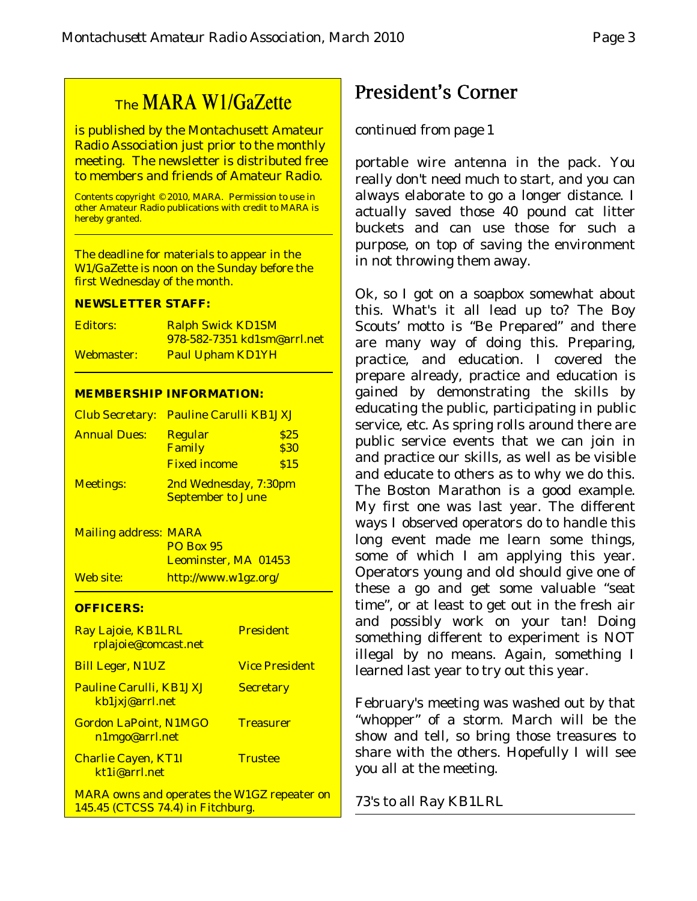## The MARA W1/GaZette

is published by the Montachusett Amateur Radio Association just prior to the monthly meeting. The newsletter is distributed free to members and friends of Amateur Radio.

Contents copyright © 2010, MARA. Permission to use in other Amateur Radio publications with credit to MARA is hereby granted.

The deadline for materials to appear in the W1/GaZette is noon on the Sunday before the first Wednesday of the month.

#### **NEWSLETTER STAFF:**

| <b>Editors:</b> | <b>Ralph Swick KD1SM</b>           |
|-----------------|------------------------------------|
|                 | <u>978-582-7351 kd1sm@arrl.net</u> |
| Webmaster:      | <b>Paul Upham KD1YH</b>            |

#### **MEMBERSHIP INFORMATION:**

|                     | Club Secretary: Pauline Carulli KB1JXJ            |             |
|---------------------|---------------------------------------------------|-------------|
| <b>Annual Dues:</b> | <b>Regular</b>                                    | \$25        |
|                     | Family                                            | <b>\$30</b> |
|                     | <b>Fixed income</b>                               | \$15        |
| <b>Meetings:</b>    | 2nd Wednesday, 7:30pm<br><b>September to June</b> |             |

Mailing address: MARA PO Box 95 Leominster, MA 01453 Web site: http://www.w1gz.org/

#### **OFFICERS:**

| Ray Lajoie, KB1LRL<br>rplajoie@comcast.net         | <b>President</b>      |
|----------------------------------------------------|-----------------------|
| <b>Bill Leger, N1UZ</b>                            | <b>Vice President</b> |
| <b>Pauline Carulli, KB1JXJ</b><br>kb1jxj@arrl.net  | <b>Secretary</b>      |
| <b>Gordon LaPoint, N1MGO</b><br>n1mgo@arrl.net     | <b>Treasurer</b>      |
| <b>Charlie Cayen, KT1I</b><br>kt1j@arrl.net        | <b>Trustee</b>        |
| <b>MARA</b> owns and operates the W1GZ repeater on |                       |

145.45 (CTCSS 74.4) in Fitchburg.

## President's Corner

## *continued from page 1*

portable wire antenna in the pack. You really don't need much to start, and you can always elaborate to go a longer distance. I actually saved those 40 pound cat litter buckets and can use those for such a purpose, on top of saving the environment in not throwing them away.

Ok, so I got on a soapbox somewhat about this. What's it all lead up to? The Boy Scouts' motto is "Be Prepared" and there are many way of doing this. Preparing, practice, and education. I covered the prepare already, practice and education is gained by demonstrating the skills by educating the public, participating in public service, etc. As spring rolls around there are public service events that we can join in and practice our skills, as well as be visible and educate to others as to why we do this. The Boston Marathon is a good example. My first one was last year. The different ways I observed operators do to handle this long event made me learn some things, some of which I am applying this year. Operators young and old should give one of these a go and get some valuable "seat time", or at least to get out in the fresh air and possibly work on your tan! Doing something different to experiment is NOT illegal by no means. Again, something I learned last year to try out this year.

February's meeting was washed out by that "whopper" of a storm. March will be the show and tell, so bring those treasures to share with the others. Hopefully I will see you all at the meeting.

73's to all Ray KB1LRL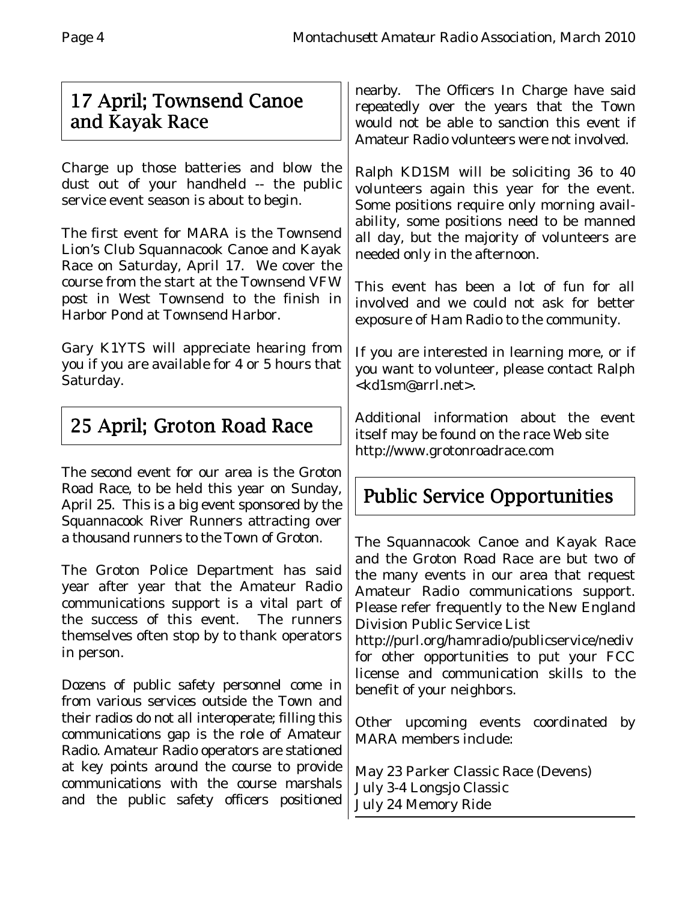## 17 April; Townsend Canoe and Kayak Race

Charge up those batteries and blow the dust out of your handheld -- the public service event season is about to begin.

The first event for MARA is the Townsend Lion's Club Squannacook Canoe and Kayak Race on Saturday, April 17. We cover the course from the start at the Townsend VFW post in West Townsend to the finish in Harbor Pond at Townsend Harbor.

Gary K1YTS will appreciate hearing from you if you are available for 4 or 5 hours that Saturday.

# 25 April; Groton Road Race

The second event for our area is the Groton Road Race, to be held this year on Sunday, April 25.This is a big event sponsored by the Squannacook River Runners attracting over a thousand runners to the Town of Groton.

The Groton Police Department has said year after year that the Amateur Radio communications support is a vital part of the success of this event. The runners themselves often stop by to thank operators in person.

Dozens of public safety personnel come in from various services outside the Town and their radios do not all interoperate; filling this communications gap is the role of Amateur Radio. Amateur Radio operators are stationed at key points around the course to provide communications with the course marshals and the public safety officers positioned

nearby. The Officers In Charge have said repeatedly over the years that the Town would not be able to sanction this event if Amateur Radio volunteers were not involved.

Ralph KD1SM will be soliciting 36 to 40 volunteers again this year for the event. Some positions require only morning availability, some positions need to be manned all day, but the majority of volunteers are needed only in the afternoon.

This event has been a lot of fun for all involved and we could not ask for better exposure of Ham Radio to the community.

If you are interested in learning more, or if you want to volunteer, please contact Ralph <kd1sm@arrl.net>.

Additional information about the event itself may be found on the race Web site http://www.grotonroadrace.com

# Public Service Opportunities

The Squannacook Canoe and Kayak Race and the Groton Road Race are but two of the many events in our area that request Amateur Radio communications support. Please refer frequently to the New England Division Public Service List

http://purl.org/hamradio/publicservice/nediv for other opportunities to put your FCC license and communication skills to the benefit of your neighbors.

Other upcoming events coordinated by MARA members include:

May 23 Parker Classic Race (Devens) July 3-4 Longsjo Classic July 24 Memory Ride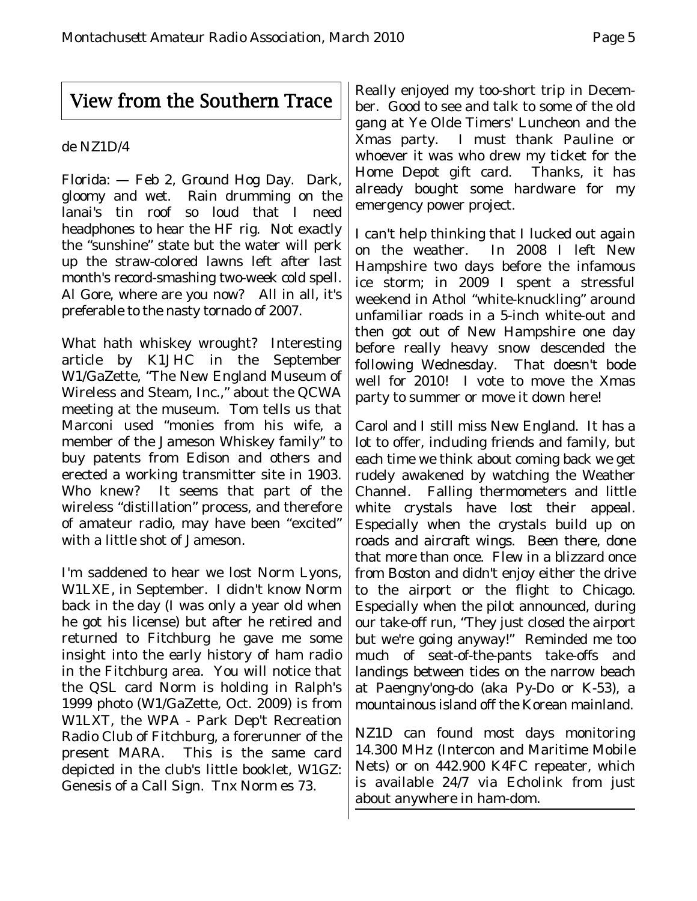## View from the Southern Trace

### de NZ1D/4

Florida: — Feb 2, Ground Hog Day. Dark, gloomy and wet. Rain drumming on the lanai's tin roof so loud that I need headphones to hear the HF rig. Not exactly the "sunshine" state but the water will perk up the straw-colored lawns left after last month's record-smashing two-week cold spell. Al Gore, where are you now? All in all, it's preferable to the nasty tornado of 2007.

What hath whiskey wrought? Interesting article by K1JHC in the September W1/GaZette, "The New England Museum of Wireless and Steam, Inc.," about the QCWA meeting at the museum. Tom tells us that Marconi used "monies from his wife, a member of the Jameson Whiskey family" to buy patents from Edison and others and erected a working transmitter site in 1903. Who knew? It seems that part of the wireless "distillation" process, and therefore of amateur radio, may have been "excited" with a little shot of Jameson.

I'm saddened to hear we lost Norm Lyons, W1LXE, in September. I didn't know Norm back in the day (I was only a year old when he got his license) but after he retired and returned to Fitchburg he gave me some insight into the early history of ham radio in the Fitchburg area. You will notice that the QSL card Norm is holding in Ralph's 1999 photo (W1/GaZette, Oct. 2009) is from W1LXT, the WPA - Park Dep't Recreation Radio Club of Fitchburg, a forerunner of the present MARA. This is the same card depicted in the club's little booklet, W1GZ: Genesis of a Call Sign. Tnx Norm es 73.

Really enjoyed my too-short trip in December. Good to see and talk to some of the old gang at Ye Olde Timers' Luncheon and the Xmas party. I must thank Pauline or whoever it was who drew my ticket for the Home Depot gift card. Thanks, it has already bought some hardware for my emergency power project.

I can't help thinking that I lucked out again on the weather. In 2008 I left New Hampshire two days before the infamous ice storm; in 2009 I spent a stressful weekend in Athol "white-knuckling" around unfamiliar roads in a 5-inch white-out and then got out of New Hampshire one day before really heavy snow descended the following Wednesday. That doesn't bode well for 2010! I vote to move the Xmas party to summer or move it down here!

Carol and I still miss New England. It has a lot to offer, including friends and family, but each time we think about coming back we get rudely awakened by watching the Weather Channel. Falling thermometers and little white crystals have lost their appeal. Especially when the crystals build up on roads and aircraft wings. Been there, done that more than once. Flew in a blizzard once from Boston and didn't enjoy either the drive to the airport or the flight to Chicago. Especially when the pilot announced, during our take-off run, "They just closed the airport but we're going anyway!" Reminded me too much of seat-of-the-pants take-offs and landings between tides on the narrow beach at Paengny'ong-do (aka Py-Do or K-53), a mountainous island off the Korean mainland.

NZ1D can found most days monitoring 14.300 MHz (Intercon and Maritime Mobile Nets) or on 442.900 K4FC repeater, which is available 24/7 via Echolink from just about anywhere in ham-dom.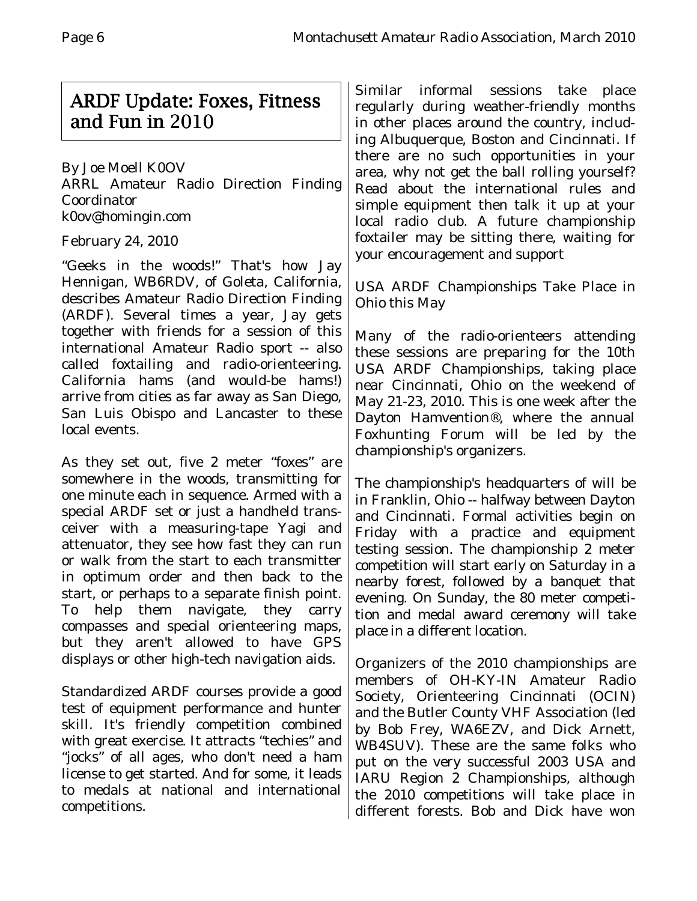## ARDF Update: Foxes, Fitness and Fun in 2010

By Joe Moell K0OV ARRL Amateur Radio Direction Finding Coordinator k0ov@homingin.com

## February 24, 2010

"Geeks in the woods!" That's how Jay Hennigan, WB6RDV, of Goleta, California, describes Amateur Radio Direction Finding (ARDF). Several times a year, Jay gets together with friends for a session of this international Amateur Radio sport -- also called foxtailing and radio-orienteering. California hams (and would-be hams!) arrive from cities as far away as San Diego, San Luis Obispo and Lancaster to these local events.

As they set out, five 2 meter "foxes" are somewhere in the woods, transmitting for one minute each in sequence. Armed with a special ARDF set or just a handheld transceiver with a measuring-tape Yagi and attenuator, they see how fast they can run or walk from the start to each transmitter in optimum order and then back to the start, or perhaps to a separate finish point. To help them navigate, they carry compasses and special orienteering maps, but they aren't allowed to have GPS displays or other high-tech navigation aids.

Standardized ARDF courses provide a good test of equipment performance and hunter skill. It's friendly competition combined with great exercise. It attracts "techies" and "jocks" of all ages, who don't need a ham license to get started. And for some, it leads to medals at national and international competitions.

Similar informal sessions take place regularly during weather-friendly months in other places around the country, including Albuquerque, Boston and Cincinnati. If there are no such opportunities in your area, why not get the ball rolling yourself? Read about the international rules and simple equipment then talk it up at your local radio club. A future championship foxtailer may be sitting there, waiting for your encouragement and support

USA ARDF Championships Take Place in Ohio this May

Many of the radio-orienteers attending these sessions are preparing for the 10th USA ARDF Championships, taking place near Cincinnati, Ohio on the weekend of May 21-23, 2010. This is one week after the Dayton Hamvention®, where the annual Foxhunting Forum will be led by the championship's organizers.

The championship's headquarters of will be in Franklin, Ohio -- halfway between Dayton and Cincinnati. Formal activities begin on Friday with a practice and equipment testing session. The championship 2 meter competition will start early on Saturday in a nearby forest, followed by a banquet that evening. On Sunday, the 80 meter competition and medal award ceremony will take place in a different location.

Organizers of the 2010 championships are members of OH-KY-IN Amateur Radio Society, Orienteering Cincinnati (OCIN) and the Butler County VHF Association (led by Bob Frey, WA6EZV, and Dick Arnett, WB4SUV). These are the same folks who put on the very successful 2003 USA and IARU Region 2 Championships, although the 2010 competitions will take place in different forests. Bob and Dick have won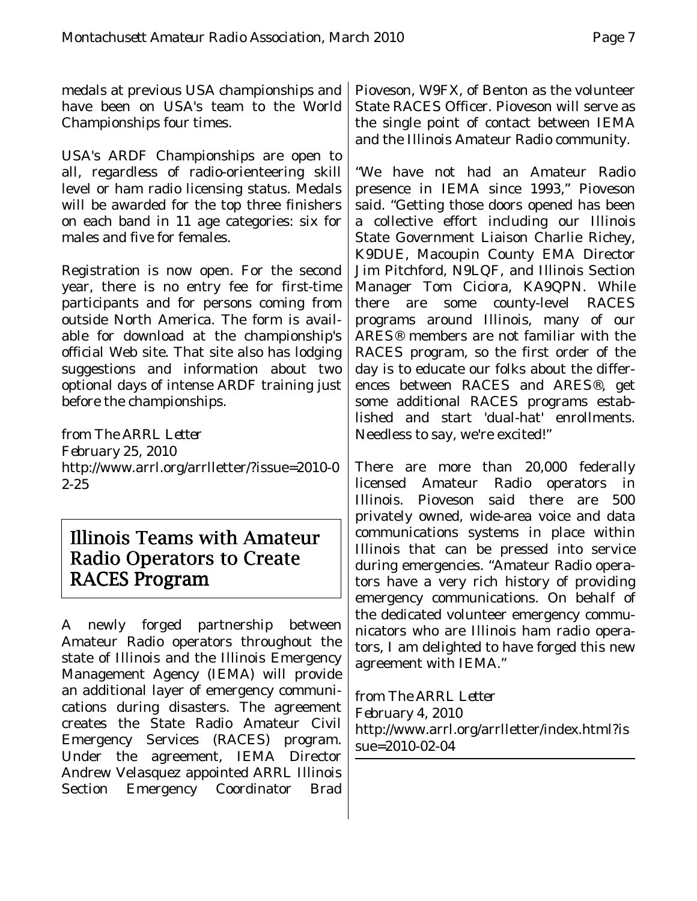medals at previous USA championships and have been on USA's team to the World Championships four times.

USA's ARDF Championships are open to all, regardless of radio-orienteering skill level or ham radio licensing status. Medals will be awarded for the top three finishers on each band in 11 age categories: six for males and five for females.

Registration is now open. For the second year, there is no entry fee for first-time participants and for persons coming from outside North America. The form is available for download at the championship's official Web site. That site also has lodging suggestions and information about two optional days of intense ARDF training just before the championships.

*from The ARRL Letter February 25, 2010* http://www.arrl.org/arrlletter/?issue=2010-0 2-25

## Illinois Teams with Amateur Radio Operators to Create RACES Program

A newly forged partnership between Amateur Radio operators throughout the state of Illinois and the Illinois Emergency Management Agency (IEMA) will provide an additional layer of emergency communications during disasters. The agreement creates the State Radio Amateur Civil Emergency Services (RACES) program. Under the agreement, IEMA Director Andrew Velasquez appointed ARRL Illinois Section Emergency Coordinator Brad Pioveson, W9FX, of Benton as the volunteer State RACES Officer. Pioveson will serve as the single point of contact between IEMA and the Illinois Amateur Radio community.

"We have not had an Amateur Radio presence in IEMA since 1993," Pioveson said. "Getting those doors opened has been a collective effort including our Illinois State Government Liaison Charlie Richey, K9DUE, Macoupin County EMA Director Jim Pitchford, N9LQF, and Illinois Section Manager Tom Ciciora, KA9QPN. While there are some county-level RACES programs around Illinois, many of our ARES® members are not familiar with the RACES program, so the first order of the day is to educate our folks about the differences between RACES and ARES®, get some additional RACES programs established and start 'dual-hat' enrollments. Needless to say, we're excited!"

There are more than 20,000 federally licensed Amateur Radio operators in Illinois. Pioveson said there are 500 privately owned, wide-area voice and data communications systems in place within Illinois that can be pressed into service during emergencies. "Amateur Radio operators have a very rich history of providing emergency communications. On behalf of the dedicated volunteer emergency communicators who are Illinois ham radio operators, I am delighted to have forged this new agreement with IEMA."

*from The ARRL Letter February 4, 2010* http://www.arrl.org/arrlletter/index.html?is sue=2010-02-04